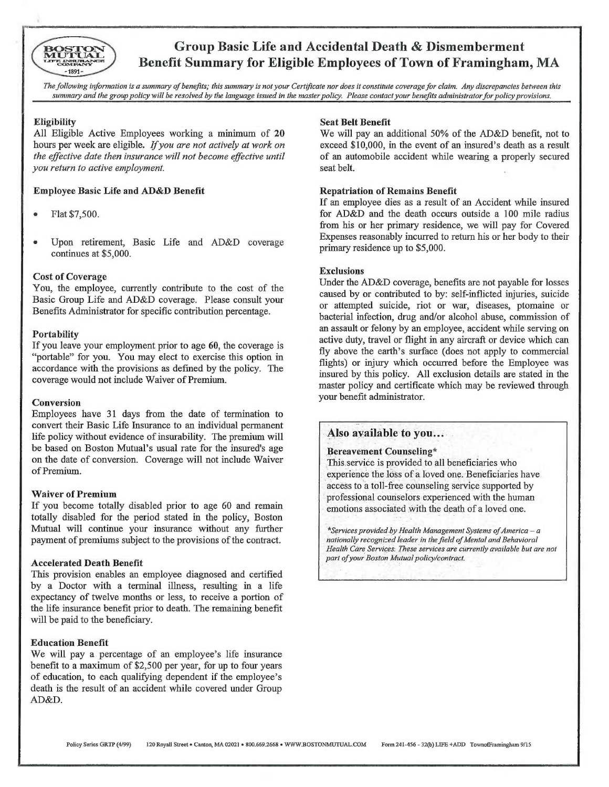

# Group Basic Life and Accidental Death & Dismemberment Benefit Summary for Eligible Employees of Town of Framingham, MA

The following information is a summary of benefits; this summary is not your Certificate nor does it constitute coverage for claim. Any discrepancies between this summary and the group policy will be resolved by the language issued in the master policy. Please contact your benefits administrator for policy provisions.

## **Eligibility**

All Eligible Active Employees working a minimum of 20 hours per week are eligible. If you are not actively at work on the effective date then insurance will not become effective until you return to active employment.

## Employee Basic Life and AD&D Benefit

- Flat \$7,500.
- Upon retirement, Basic Life and AD&D coverage continues at \$5,000.

### Cost of Coverage

You, the employee, currently contribute to the cost of the Basic Group Life and AD&D coverage. Please consult your Benefits Administrator for specific contribution percentage.

## **Portability**

If you leave your employment prior to age 60, the coverage is "portable" for you. You may elect to exercise this option in accordance with the provisions as defined by the policy. The coverage would not include Waiver of Premium.

### Conversion

Employees have 31 days from the date of termination to convert their Basic Life Insurance to an individual permanent life policy without evidence of insurability. The premium will be based on Boston Mutual's usual rate for the insured's age on the date of conversion. Coverage will not include Waiver of Premium.

### Waiver of Premium

If you become totally disabled prior to age 60 and remain totally disabled for the period stated in the policy, Boston Mutual will continue your insurance without any further payment of premiums subject to the provisions of the contract.

## Accelerated Death Benefit

This provision enables an employee diagnosed and certified by a Doctor with a terminal illness, resulting in a life expectancy of twelve months or less, to receive a portion of the life insurance benefit prior to death. The remaining benefit will be paid to the beneficiary.

### Education Benefit

We will pay a percentage of an employee's life insurance benefit to a maximum of \$2,500 per year, for up to four years of education, to each qualifying dependent if the employee's death is the result of an accident while covered under Group AD&D.

#### Seat Belt Benefit

We will pay an additional 50% of the AD&D benefit, not to exceed \$10,000, in the event of an insured's death as a result of an automobile accident while wearing a properly secured seat belt.

## Repatriation of Remains Benefit

If an employee dies as a result of an Accident while insured for AD&D and the death occurs outside a 100 mile radius from his or her primary residence, we will pay for Covered Expenses reasonably incurred to return his or her body to their primary residence up to \$5,000.

### Exclusions

Under the AD&D coverage, benefits are not payable for losses caused by or contributed to by: self-inflicted injuries, suicide or attempted suicide, riot or war, diseases, ptomaine or bacterial infection, drug and/or alcohol abuse, commission of an assault or felony by an employee, accident while serving on active duty, travel or flight in any aircraft or device which can fly above the earth's surface (does not apply to commercial flights) or injury which occurred before the Employee was insured by this policy. All exclusion details are stated in the master policy and certificate which may be reviewed through your benefit administrator.

## Also available to you...

### Bereavement Counseling\*

This:service is provided to all beneficiaries who experience the loss of a loved one. Beneficiaries have access to a toll-free counseling service supported by professional counselors experienced with the human emotions associated with the death of a loved one.

\*Services provided by Health Management Systems of America – a nationally recognized leader in the field of Mental and Behavioral Health Care Services. These services are currently available but are not part of your Boston Mutual policy/contract.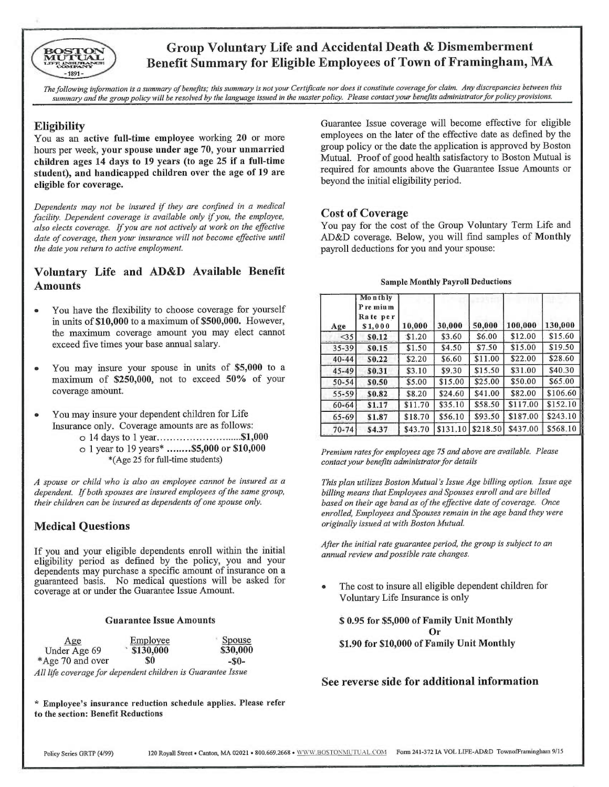

# Group Voluntary Life and Accidental Death & Dismemberment Benefit Summary for Eligible Employees of Town of Framingham, MA

The following information is a summary of benefits; this summary is not your Certificate nor does it constitute coverage for claim. Any discrepancies between this summary and the group policy will be resolved by the language issued in the master policy. Please contact your benefits administrator for policy provisions.

## **Eligibility**

You as an active full-time employee working 20 or more hours per week, your spouse under age 70, your unmarried children ages 14 days to 19 years (to age 25 if a full-time student), and handicapped children over the age of 19 are eligible for coverage.

Dependents may not be insured if they are confined in a medical facility. Dependent coverage is available only if you, the employee, also elects coverage. If you are not actively at work on the effective date of coverage, then your insurance will not become effective until the date you return to active employment.

# Voluntary Life and AD&D Available Benefit **Amounts**

- You have the flexibility to choose coverage for yourself in units of \$10,000 to a maximum of \$500,000. However, the maximum coverage amount you may elect cannot exceed five times your base annual salary.
- You may insure your spouse in units of \$5,000 to <sup>a</sup> maximum of \$250,000, not to exceed 50% of your coverage amount.
- You may insure your dependent children for Life Insurance only. Coverage amounts are as follows:
	- 0 14 days to 1 year ...........................\$1,000 0 1 year to 19 years\* ........\$5,000 or \$10,000 \*(Age 25 for full-time students)

<sup>A</sup>spouse or child who is also an employee cannot be insured as <sup>a</sup> dependent. If both spouses are insured employees of the same group, their children can be insured as dependents of one spouse only.

## Medical Questions

If you and your eligible dependents enroll within the initial eligibility period as defined by the policy, you and your dependents may purchase a specific amount of insurance on <sup>a</sup> guaranteed basis. No medical questions will be asked for coverage at or under the Guarantee Issue Amount.

### Guarantee Issue Amounts

| Age                                                         | Employee  | Spouse   |
|-------------------------------------------------------------|-----------|----------|
| Under Age 69                                                | \$130,000 | \$30,000 |
| *Age 70 and over                                            | \$0       | $-80-$   |
| All life coverage for dependent children is Guarantee Issue |           |          |

\* Employee's insurance reduction schedule applies. Please refer to the section: Benefit Reductions

Guarantee Issue coverage will become effective for eligible employees on the later of the effective date as defined by the group policy or the date the application is approved by Boston Mutual. Proof of good health satisfactory to Boston Mutual is required for amounts above the Guarantee Issue Amounts or beyond the initial eligibility period.

## Cost of Coverage

You pay for the cost of the Group Voluntary Term Life and AD&D coverage. Below, you will find samples of Monthly payroll deductions for you and your spouse:

|  |  |  | <b>Sample Monthly Payroll Deductions</b> |  |  |
|--|--|--|------------------------------------------|--|--|
|--|--|--|------------------------------------------|--|--|

| Age       | Monthly<br>Pre mium<br>Rate per<br>\$1,000 | 10,000  | 30,000   | 50,000   | 100,000  | 130,000  |
|-----------|--------------------------------------------|---------|----------|----------|----------|----------|
| $\leq$ 35 | \$0.12                                     | \$1.20  | \$3.60   | \$6.00   | \$12.00  | \$15.60  |
| $35 - 39$ | \$0.15                                     | \$1.50  | \$4.50   | \$7.50   | \$15.00  | \$19.50  |
| $40 - 44$ | \$0.22                                     | \$2.20  | \$6.60   | \$11.00  | \$22.00  | \$28.60  |
| $45 - 49$ | \$0.31                                     | \$3.10  | \$9.30   | \$15.50  | \$31.00  | \$40.30  |
| $50 - 54$ | \$0.50                                     | \$5.00  | \$15.00  | \$25.00  | \$50.00  | \$65.00  |
| $55 - 59$ | \$0.82                                     | \$8.20  | \$24.60  | \$41.00  | \$82.00  | \$106.60 |
| 60-64     | \$1.17                                     | \$11.70 | \$35.10  | \$58.50  | \$117.00 | \$152.10 |
| $65 - 69$ | \$1.87                                     | \$18.70 | \$56.10  | \$93.50  | \$187.00 | \$243.10 |
| $70 - 74$ | \$4.37                                     | \$43.70 | \$131.10 | \$218.50 | \$437.00 | \$568.10 |

Premium rates for employees age 75 and above are available. Please contact your benefits administrator for details

This plan utilizes Boston Mutual 's Issue Age billing option. Issue age billing means that Employees and Spouses enroll and are billed based on their age band as of the effective date of coverage. Once enrolled, Employees and Spouses remain in the age band they were originally issued at with Boston Mutual.

After the initial rate guarantee period, the group is subject to an annual review and possible rate changes.

The cost to insure all eligible dependent children for Voluntary Life Insurance is only

\$ 0.95 for \$5,000 of Family Unit Monthly Or \$1.90 for \$10,000 of Family Unit Monthly

## See reverse side for additional information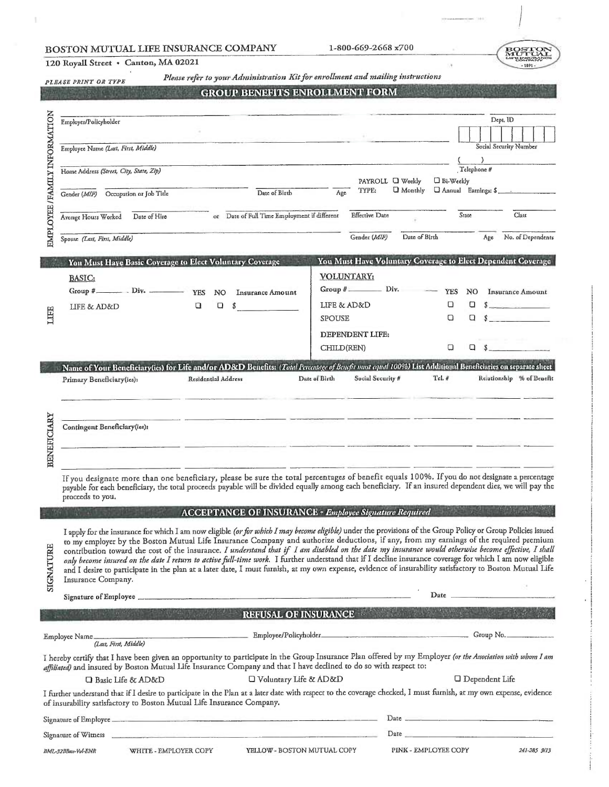## BOSTON MUTUAL LIFE INSURANCE COMPANY

1-800-669-2668 x700

# 120 Royall Street . Canton, MA 02021

Please refer to vour Administration Kit for enrollment and mailing instructions

|                               | power assemblation who can get<br>PLEASE PRINT OR TYPE<br><b>GROUP BENEFITS ENROLLMENT FORM</b>                                                                                                                                                                                                                                                                                                                                                                                                                                                                                                                                                                                                                                                                                                            |                                                                                                                      |                                                                                                                                                                                                                                |
|-------------------------------|------------------------------------------------------------------------------------------------------------------------------------------------------------------------------------------------------------------------------------------------------------------------------------------------------------------------------------------------------------------------------------------------------------------------------------------------------------------------------------------------------------------------------------------------------------------------------------------------------------------------------------------------------------------------------------------------------------------------------------------------------------------------------------------------------------|----------------------------------------------------------------------------------------------------------------------|--------------------------------------------------------------------------------------------------------------------------------------------------------------------------------------------------------------------------------|
|                               | Employer/Policyholder                                                                                                                                                                                                                                                                                                                                                                                                                                                                                                                                                                                                                                                                                                                                                                                      |                                                                                                                      | Dept, ID                                                                                                                                                                                                                       |
| EMPLOYEE / FAMILY INFORMATION | Employee Name (Last, First, Middle)                                                                                                                                                                                                                                                                                                                                                                                                                                                                                                                                                                                                                                                                                                                                                                        |                                                                                                                      | Social Security Number                                                                                                                                                                                                         |
|                               | Home Address (Street, City, State, Zip)                                                                                                                                                                                                                                                                                                                                                                                                                                                                                                                                                                                                                                                                                                                                                                    | PAYROLL U Weekly                                                                                                     | $\mathcal{E}$<br>Telephone #<br>□ Bi-Weekly                                                                                                                                                                                    |
|                               | Date of Birth<br>Gender (M/F) Occupation or Job Title                                                                                                                                                                                                                                                                                                                                                                                                                                                                                                                                                                                                                                                                                                                                                      | TYPE:<br><b>Q</b> Monthly<br>Age                                                                                     | Annual Earnings: \$                                                                                                                                                                                                            |
|                               | or Date of Full Time Employment if different<br>Average Hours Worked Date of Hire                                                                                                                                                                                                                                                                                                                                                                                                                                                                                                                                                                                                                                                                                                                          | <b>Effective Date</b>                                                                                                | State<br>Class                                                                                                                                                                                                                 |
|                               | Spouse (Last, First, Middle)                                                                                                                                                                                                                                                                                                                                                                                                                                                                                                                                                                                                                                                                                                                                                                               | Date of Birth<br>Gender (M/F)                                                                                        | No. of Dependents<br>Age                                                                                                                                                                                                       |
|                               | You Must Have Basic Coverage to Elect Voluntary Coverage                                                                                                                                                                                                                                                                                                                                                                                                                                                                                                                                                                                                                                                                                                                                                   | You Must Have Voluntary Coverage to Elect Dependent Coverage                                                         |                                                                                                                                                                                                                                |
| LIFE                          | <b>BASIC:</b><br>Group # $Div.$ Div. $YES NO$<br><b>Insurance Amount</b><br>$\Box$<br>Q<br>\$<br>LIFE & AD&D                                                                                                                                                                                                                                                                                                                                                                                                                                                                                                                                                                                                                                                                                               | VOLUNTARY:<br>$Group \#$ Div.<br>LIFE & AD&D<br><b>SPOUSE</b>                                                        | <b>YES</b><br>Insurance Amount<br>NO.<br>а<br>a<br>$\sim$<br>a<br>Q<br>$\sim$                                                                                                                                                  |
|                               |                                                                                                                                                                                                                                                                                                                                                                                                                                                                                                                                                                                                                                                                                                                                                                                                            | <b>DEPENDENT LIFE:</b>                                                                                               |                                                                                                                                                                                                                                |
|                               |                                                                                                                                                                                                                                                                                                                                                                                                                                                                                                                                                                                                                                                                                                                                                                                                            | CHILD(REN)                                                                                                           | $\Box$ \$<br>$\Box$                                                                                                                                                                                                            |
|                               | Name of Your Beneficiary(ies) for Life and/or AD&D Benefits: (Total Percentage of Benefit must equal 100%) List Additional Beneficiaries on separate sheet<br>Residential Address<br>Primary Beneficiary(ies):                                                                                                                                                                                                                                                                                                                                                                                                                                                                                                                                                                                             | Social Security #<br>Tel. #<br>Date of Birth                                                                         | Relationship % of Benefit                                                                                                                                                                                                      |
| <b>BENEFICIARY</b>            | Contingent Beneficiary(ies):<br><u> 1990 - Prima Maria Monte, prima prima prima prima prima prima prima prima prima prima prima prima prima prim</u>                                                                                                                                                                                                                                                                                                                                                                                                                                                                                                                                                                                                                                                       |                                                                                                                      |                                                                                                                                                                                                                                |
|                               | If you designate more than one beneficiary, please be sure the total percentages of benefit equals 100%. If you do not designate a percentage<br>payable for each beneficiary, the total proceeds payable will be divided equally among each beneficiary. If an insured dependent dies, we will pay the<br>proceeds to you.                                                                                                                                                                                                                                                                                                                                                                                                                                                                                |                                                                                                                      |                                                                                                                                                                                                                                |
|                               | <b>ACCEPTANCE OF INSURANCE - Employee Signature Required</b>                                                                                                                                                                                                                                                                                                                                                                                                                                                                                                                                                                                                                                                                                                                                               |                                                                                                                      |                                                                                                                                                                                                                                |
| SIGNATURE                     | I apply for the insurance for which I am now eligible (or for which I may become eligible) under the provisions of the Group Policy or Group Policies issued<br>to my employer by the Boston Mutual Life Insurance Company and authorize deductions, if any, from my earnings of the required premium<br>contribution toward the cost of the insurance. I understand that if I am disabled on the date my insurance would otherwise become effective, I shall<br>only become insured on the date I return to active full-time work. I further understand that if I decline insurance coverage for which I am now eligible<br>and I desire to participate in the plan at a later date, I must furnish, at my own expense, evidence of insurability satisfactory to Boston Mutual Life<br>Insurance Company. |                                                                                                                      |                                                                                                                                                                                                                                |
|                               | Signature of Employee                                                                                                                                                                                                                                                                                                                                                                                                                                                                                                                                                                                                                                                                                                                                                                                      | Date _                                                                                                               |                                                                                                                                                                                                                                |
|                               | <b>DEL SELLIEN</b><br><b>RACINESS</b>                                                                                                                                                                                                                                                                                                                                                                                                                                                                                                                                                                                                                                                                                                                                                                      | REFUSAL OF INSURANCE <b>External State of Australian State State State State State State State State State State</b> |                                                                                                                                                                                                                                |
|                               | Employee/Policyholder Group No.<br>Employee Name<br>(Last, First, Middle)                                                                                                                                                                                                                                                                                                                                                                                                                                                                                                                                                                                                                                                                                                                                  |                                                                                                                      |                                                                                                                                                                                                                                |
|                               | I hereby certify that I have been given an opportunity to participate in the Group Insurance Plan offered by my Employer (or the Association with whom I am<br>affiliated) and insured by Boston Mutual Life Insurance Company and that I have declined to do so with respect to:                                                                                                                                                                                                                                                                                                                                                                                                                                                                                                                          |                                                                                                                      |                                                                                                                                                                                                                                |
|                               | □ Voluntary Life & AD&D<br>□ Basic Life & AD&D                                                                                                                                                                                                                                                                                                                                                                                                                                                                                                                                                                                                                                                                                                                                                             |                                                                                                                      | O Dependent Life                                                                                                                                                                                                               |
|                               | I further understand that if I desire to participate in the Plan at a later date with respect to the coverage checked, I must furnish, at my own expense, evidence<br>of insurability satisfactory to Boston Mutual Life Insurance Company.                                                                                                                                                                                                                                                                                                                                                                                                                                                                                                                                                                |                                                                                                                      |                                                                                                                                                                                                                                |
|                               |                                                                                                                                                                                                                                                                                                                                                                                                                                                                                                                                                                                                                                                                                                                                                                                                            |                                                                                                                      | Date $\overline{\phantom{a}}$                                                                                                                                                                                                  |
|                               | Signature of Witness                                                                                                                                                                                                                                                                                                                                                                                                                                                                                                                                                                                                                                                                                                                                                                                       |                                                                                                                      | Date and the contract of the contract of the contract of the contract of the contract of the contract of the contract of the contract of the contract of the contract of the contract of the contract of the contract of the c |
|                               | YELLOW - BOSTON MUTUAL COPY<br>WHITE - EMPLOYER COPY<br>BML-32BBass-Vol-ENR                                                                                                                                                                                                                                                                                                                                                                                                                                                                                                                                                                                                                                                                                                                                | PINK - EMPLOYEE COPY                                                                                                 | 241-285 9/13                                                                                                                                                                                                                   |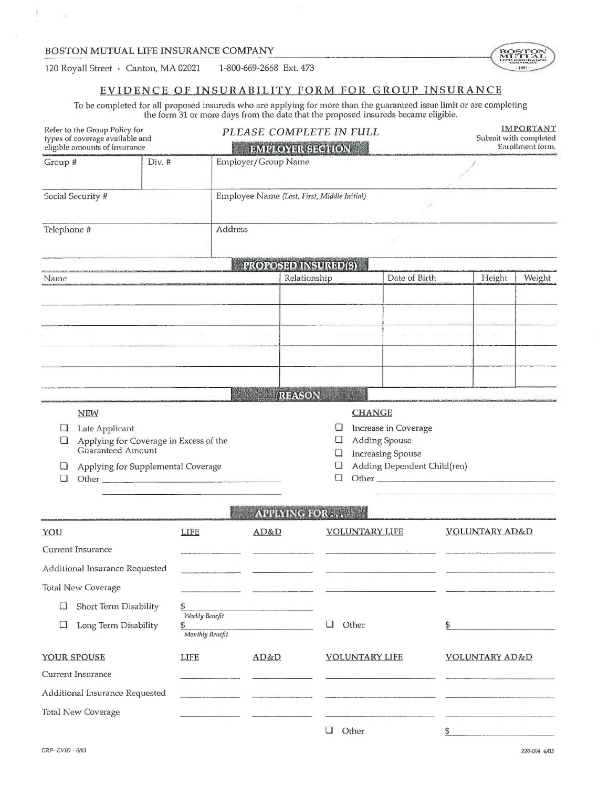$\mathbb{R}$ 



## EVIDENCE OF INSURABILITY FORM FOR GROUP INSURANCE

To be completed for all proposed insureds who are applying for more than the guaranteed issue limit or are completing<br>the form 31 or more days from the date that the proposed insureds became eligible.

|             | Refer to the Group Policy for<br>types of coverage available and<br>eligible amounts of insurance                   |                      |                     | PLEASE COMPLETE IN FULL<br><b>EMPLOYER SECTION</b> |                                                                                                                                                                                                                                                               |                                |                           | <b>IMPORTANT</b><br>Submit with completed<br>Enrollment form. |
|-------------|---------------------------------------------------------------------------------------------------------------------|----------------------|---------------------|----------------------------------------------------|---------------------------------------------------------------------------------------------------------------------------------------------------------------------------------------------------------------------------------------------------------------|--------------------------------|---------------------------|---------------------------------------------------------------|
| Group #     |                                                                                                                     | Div. #               | Employer/Group Name |                                                    |                                                                                                                                                                                                                                                               |                                |                           |                                                               |
|             | Social Security #                                                                                                   |                      |                     | Employee Name (Last, First, Middle Initial)        |                                                                                                                                                                                                                                                               |                                |                           |                                                               |
| Telephone # |                                                                                                                     |                      | Address             |                                                    | ×                                                                                                                                                                                                                                                             |                                |                           |                                                               |
|             |                                                                                                                     |                      |                     | <b>PROPOSED INSURED(S)</b>                         |                                                                                                                                                                                                                                                               |                                |                           |                                                               |
| Name        | .<br>The complementation of the state of the state of the complete form of the problem of the complete state of the |                      |                     | Relationship                                       | Date of Birth                                                                                                                                                                                                                                                 |                                | Height                    | Weight                                                        |
|             |                                                                                                                     |                      |                     |                                                    |                                                                                                                                                                                                                                                               |                                |                           |                                                               |
|             |                                                                                                                     |                      |                     |                                                    |                                                                                                                                                                                                                                                               |                                |                           |                                                               |
|             |                                                                                                                     |                      |                     |                                                    |                                                                                                                                                                                                                                                               | and the control of the control | - 6                       |                                                               |
|             |                                                                                                                     |                      |                     |                                                    |                                                                                                                                                                                                                                                               |                                |                           |                                                               |
|             |                                                                                                                     |                      |                     |                                                    |                                                                                                                                                                                                                                                               |                                |                           |                                                               |
|             |                                                                                                                     |                      |                     | REASON                                             |                                                                                                                                                                                                                                                               |                                |                           |                                                               |
|             | <b>NEW</b>                                                                                                          |                      |                     |                                                    | <b>CHANGE</b>                                                                                                                                                                                                                                                 |                                |                           |                                                               |
| u<br>u      | Late Applicant<br>Applying for Coverage in Excess of the                                                            |                      |                     | ⊔<br>Ц                                             | Increase in Coverage<br><b>Adding Spouse</b>                                                                                                                                                                                                                  |                                |                           |                                                               |
|             | Guaranteed Amount                                                                                                   |                      |                     | ⊔                                                  | <b>Increasing Spouse</b>                                                                                                                                                                                                                                      |                                |                           |                                                               |
| $\Box$      | Applying for Supplemental Coverage                                                                                  |                      |                     | Ü<br>$\Box$                                        | Adding Dependent Child(ren)<br>Other contact the contact of the contact of the contact of the contact of the contact of the contact of the contact of the contact of the contact of the contact of the contact of the contact of the contact of the contact o |                                |                           |                                                               |
|             |                                                                                                                     |                      |                     | <b>APPLYING FOR </b>                               |                                                                                                                                                                                                                                                               |                                |                           |                                                               |
| YOU         |                                                                                                                     | <b>LIFE</b>          | AD&D                |                                                    | <b>VOLUNTARY LIFE</b>                                                                                                                                                                                                                                         |                                | <b>VOLUNTARY AD&amp;D</b> |                                                               |
|             | Current Insurance                                                                                                   |                      |                     |                                                    |                                                                                                                                                                                                                                                               |                                |                           |                                                               |
|             | Additional Insurance Requested                                                                                      |                      |                     |                                                    |                                                                                                                                                                                                                                                               |                                |                           |                                                               |
|             | <b>Total New Coverage</b>                                                                                           |                      |                     |                                                    |                                                                                                                                                                                                                                                               |                                |                           |                                                               |
| u           | Short Term Disability                                                                                               | \$                   |                     |                                                    |                                                                                                                                                                                                                                                               |                                |                           |                                                               |
| □           | Long Term Disability                                                                                                | Weekly Benefit<br>\$ |                     | □                                                  | Other                                                                                                                                                                                                                                                         | \$                             |                           |                                                               |
|             |                                                                                                                     | Monthly Benefit      |                     |                                                    |                                                                                                                                                                                                                                                               |                                |                           |                                                               |
|             | YOUR SPOUSE                                                                                                         | <b>LIFE</b>          | AD&D                |                                                    | <b>VOLUNTARY LIFE</b>                                                                                                                                                                                                                                         |                                | <b>VOLUNTARY AD&amp;D</b> |                                                               |
|             | Current Insurance                                                                                                   |                      |                     |                                                    |                                                                                                                                                                                                                                                               |                                |                           |                                                               |
|             | Additional Insurance Requested                                                                                      |                      |                     |                                                    |                                                                                                                                                                                                                                                               |                                |                           |                                                               |
|             | Total New Coverage                                                                                                  |                      |                     |                                                    |                                                                                                                                                                                                                                                               |                                |                           |                                                               |
|             |                                                                                                                     |                      |                     | u                                                  | Other                                                                                                                                                                                                                                                         | \$                             |                           |                                                               |

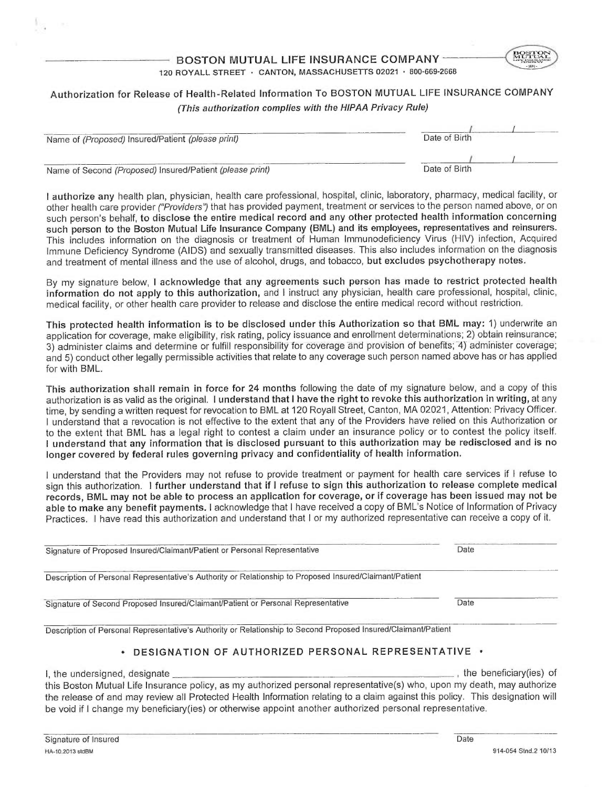BOSTON MUTUAL LIFE INSURANCE COMPANY . 120 ROYALL STREET · CANTON, MASSACHUSETTS 02021 · 800-669-2668  $_{\rm{BOSTON}}$  $.189 -$ 

# Authorization for Release of Health-Related Information To BOSTON MUTUAL LIFE INSURANCE COMPANY (This aufhorizafion complies with the HIPAA Privacy Rule)

| Name of (Proposed) Insured/Patient (please print)        | Date of Birth |
|----------------------------------------------------------|---------------|
|                                                          |               |
| Name of Second (Proposed) Insured/Patient (please print) | Date of Birth |

authorize any health plan, physician, health care professional, hospital, clinic, laboratory, pharmacy, medical facility, or other health care provider ("Providers") that has provided payment, treatment or services to the person named above, or on such person's behalf, to disclose the entire medical record and any other protected health information concerning such person to the Boston Mutual Life Insurance Company (BML) and its employees, representatives and reinsurers. This includes information on the diagnosis or treatment of Human Immunodeficiency Virus (HIV) infection, Acquired Immune Deficiency Syndrome (AIDS) and sexually transmitted diseases. This also includes information on the diagnosis and treatment of mental illness and the use of alcohol, drugs, and tobacco, but excludes psychotherapy notes.

By my signature below, I acknowledge that any agreements such person has made to restrict protected health information do not apply to this authorization, and I instruct any physician, health care professional, hospital, clinic, medical facility, or other health care provider to release and disclose the entire medical record without restriction.

This protected health information is to be disclosed under this Authorization so that BML may: 1) underwrite an application for coverage, make eligibility, risk rating, policy issuance and enrollment determinations; 2) obtain reinsurance; 3) administer claims and determine or fulfill responsibility for coverage and provision of benefits; 4) administer coverage; and 5) conduct other legally permissible activities that relate to any coverage such person named above has or has applied for with BML.

This authorization shall remain in force for 24 months following the date of my signature below, and a copy of this authorization is as valid as the original. I understand that I have the right to revoke this authorization in writing, at any time, by sending a written request for revocation to BML at 120 Royall Street, Canton, MA 02021, Attention: Privacy Officer. understand that a revocation is not effective to the extent that any of the Providers have relied on this Authorization or to the extent that BML has a legal right to contest a claim under an insurance policy or to contest the policy itself. understand that any information that is disclosed pursuant to this authorization may be redisclosed and is no longer covered by federal rules governing privacy and confidentiality of health information.

understand that the Providers may not refuse to provide treatment or payment for health care services if I refuse to sign this authorization. 1 further understand that if I refuse to sign this authorization to release complete medical records, BML may not be able to process an application for coverage, or if coverage has been issued may not be able to make any benefit payments. I acknowledge that I have received a copy of BML's Notice of Information of Privacy Practices. I have read this authorization and understand that I or my authorized representative can receive a copy of it.

| Signature of Proposed Insured/Claimant/Patient or Personal Representative                                      | Date |  |
|----------------------------------------------------------------------------------------------------------------|------|--|
| Description of Personal Representative's Authority or Relationship to Proposed Insured/Claimant/Patient        |      |  |
| Signature of Second Proposed Insured/Claimant/Patient or Personal Representative                               | Date |  |
| Description of Personal Representative's Authority or Relationship to Second Proposed Insured/Claimant/Patient |      |  |

## • DESIGNATION OF AUTHORIZED PERSONAL REPRESENTATIVE

be void if I change my beneficiary(ies) or otherwise appoint another authorized personal representative.

I, the undersigned, designate *internal contract to the beneficiary(ies)* of this Boston Mutual Life Insurance policy, as my authorized personal representative(s) who, upon my death, may authorize the release of and may review all Protected Health Information relating to a claim against this policy. This designation will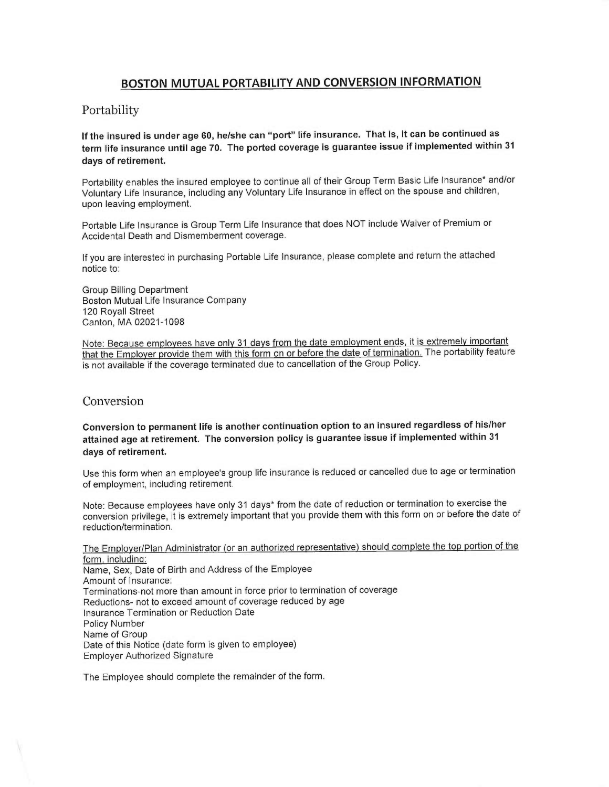# BOSTON MUTUAL PORTABILITY AND CONVERSION INFORMATION

## Portability

If the insured is under age 60, he/she can "port" life insurance. That is, it can be continued as term life insurance until age 70. The ported coverage is guarantee issue if implemented within <sup>31</sup> days of retirement.

Portability enables the insured employee to continue all of their Group Term Basic Life Insurance` and/or Voluntary Life Insurance, including any Voluntary Life Insurance in effect on the spouse and children, upon leaving employment.

Portable Life Insurance is Group Term Life Insurance that does NOT include Waiver of Premium or Accidental Death and Dismemberment coverage.

If you are interested in purchasing Portable Life Insurance, please complete and return the attached notice to:

Group Billing Department Boston Mutual Life Insurance Company 120 Royall Street Canton, MA 02021-1098

Note: Because employees have only 31 days from the date employment ends, it is extremely important that the Employer provide them with this form on or before the date of termination. The portability feature is not available if the coverage terminated due to cancellation of the Group Policy.

## Conversion

Conversion to permanent life is another continuation option to an insured regardless of his/her attained age at retirement. The conversion policy is guarantee issue if implemented within <sup>31</sup> days of retirement.

Use this form when an employee's group life insurance is reduced or cancelled due to age or termination of employment, including retirement.

Note: Because employees have only 31 days\* from the date of reduction or termination to exercise the conversion privilege, it is extremely important that you provide them with this form on or before the date of reduction/termination.

The Employer/Plan Administrator (or an authorized representative) should complete the top portion of the form, including: Name, Sex, Date of Birth and Address of the Employee Amount of Insurance: Terminations-not more than amount in force prior to termination of coverage Reductions- not to exceed amount of coverage reduced by age Insurance Termination or Reduction Date Policy Number Name of Group Date of this Notice (date form is given to employee) Employer Authorized Signature

The Employee should complete the remainder of the form.